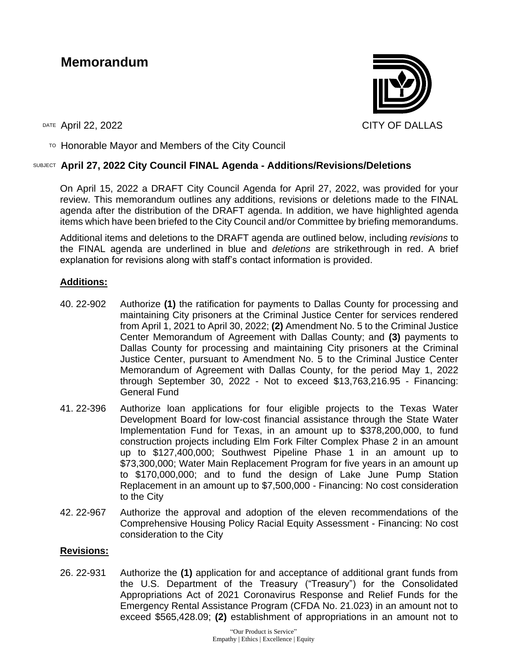# **Memorandum**



 $T$ <sup>O</sup> Honorable Mayor and Members of the City Council

## SUBJECT **April 27, 2022 City Council FINAL Agenda - Additions/Revisions/Deletions**

On April 15, 2022 a DRAFT City Council Agenda for April 27, 2022, was provided for your review. This memorandum outlines any additions, revisions or deletions made to the FINAL agenda after the distribution of the DRAFT agenda. In addition, we have highlighted agenda items which have been briefed to the City Council and/or Committee by briefing memorandums.

Additional items and deletions to the DRAFT agenda are outlined below, including *revisions* to the FINAL agenda are underlined in blue and *deletions* are strikethrough in red. A brief explanation for revisions along with staff's contact information is provided.

## **Additions:**

- 40. 22-902 Authorize **(1)** the ratification for payments to Dallas County for processing and maintaining City prisoners at the Criminal Justice Center for services rendered from April 1, 2021 to April 30, 2022; **(2)** Amendment No. 5 to the Criminal Justice Center Memorandum of Agreement with Dallas County; and **(3)** payments to Dallas County for processing and maintaining City prisoners at the Criminal Justice Center, pursuant to Amendment No. 5 to the Criminal Justice Center Memorandum of Agreement with Dallas County, for the period May 1, 2022 through September 30, 2022 - Not to exceed \$13,763,216.95 - Financing: General Fund
- 41. 22-396 Authorize loan applications for four eligible projects to the Texas Water Development Board for low-cost financial assistance through the State Water Implementation Fund for Texas, in an amount up to \$378,200,000, to fund construction projects including Elm Fork Filter Complex Phase 2 in an amount up to \$127,400,000; Southwest Pipeline Phase 1 in an amount up to \$73,300,000; Water Main Replacement Program for five years in an amount up to \$170,000,000; and to fund the design of Lake June Pump Station Replacement in an amount up to \$7,500,000 - Financing: No cost consideration to the City
- 42. 22-967 Authorize the approval and adoption of the eleven recommendations of the Comprehensive Housing Policy Racial Equity Assessment - Financing: No cost consideration to the City

## **Revisions:**

26. 22-931 Authorize the **(1)** application for and acceptance of additional grant funds from the U.S. Department of the Treasury ("Treasury") for the Consolidated Appropriations Act of 2021 Coronavirus Response and Relief Funds for the Emergency Rental Assistance Program (CFDA No. 21.023) in an amount not to exceed \$565,428.09; **(2)** establishment of appropriations in an amount not to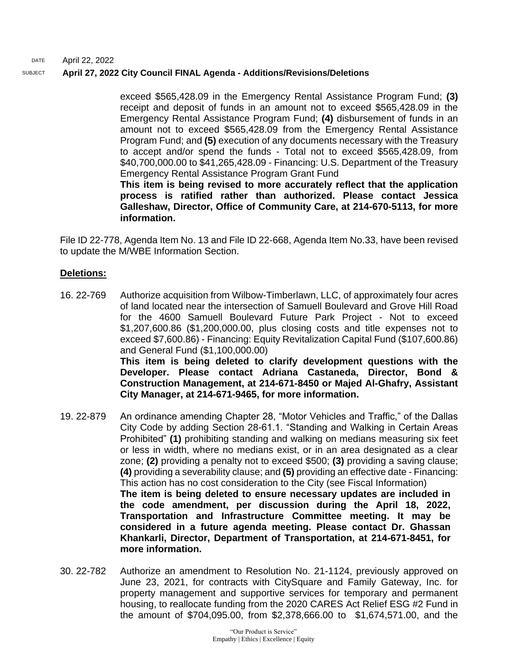#### DATE April 22, 2022 SUBJECT **April 27, 2022 City Council FINAL Agenda - Additions/Revisions/Deletions**

exceed \$565,428.09 in the Emergency Rental Assistance Program Fund; **(3)** receipt and deposit of funds in an amount not to exceed \$565,428.09 in the Emergency Rental Assistance Program Fund; **(4)** disbursement of funds in an amount not to exceed \$565,428.09 from the Emergency Rental Assistance Program Fund; and **(5)** execution of any documents necessary with the Treasury to accept and/or spend the funds - Total not to exceed \$565,428.09, from \$40,700,000.00 to \$41,265,428.09 - Financing: U.S. Department of the Treasury Emergency Rental Assistance Program Grant Fund

**This item is being revised to more accurately reflect that the application process is ratified rather than authorized. Please contact Jessica Galleshaw, Director, Office of Community Care, at 214-670-5113, for more information.** 

File ID 22-778, Agenda Item No. 13 and File ID 22-668, Agenda Item No.33, have been revised to update the M/WBE Information Section.

## **Deletions:**

- 16. 22-769 Authorize acquisition from Wilbow-Timberlawn, LLC, of approximately four acres of land located near the intersection of Samuell Boulevard and Grove Hill Road for the 4600 Samuell Boulevard Future Park Project - Not to exceed \$1,207,600.86 (\$1,200,000.00, plus closing costs and title expenses not to exceed \$7,600.86) - Financing: Equity Revitalization Capital Fund (\$107,600.86) and General Fund (\$1,100,000.00) **This item is being deleted to clarify development questions with the Developer. Please contact Adriana Castaneda, Director, Bond & Construction Management, at 214-671-8450 or Majed Al-Ghafry, Assistant City Manager, at 214-671-9465, for more information.**
- 19. 22-879 An ordinance amending Chapter 28, "Motor Vehicles and Traffic," of the Dallas City Code by adding Section 28-61.1. "Standing and Walking in Certain Areas Prohibited" **(1)** prohibiting standing and walking on medians measuring six feet or less in width, where no medians exist, or in an area designated as a clear zone; **(2)** providing a penalty not to exceed \$500; **(3)** providing a saving clause; **(4)** providing a severability clause; and **(5)** providing an effective date - Financing: This action has no cost consideration to the City (see Fiscal Information) **The item is being deleted to ensure necessary updates are included in the code amendment, per discussion during the April 18, 2022, Transportation and Infrastructure Committee meeting. It may be considered in a future agenda meeting. Please contact Dr. Ghassan Khankarli, Director, Department of Transportation, at 214-671-8451, for more information.**
- 30. 22-782 Authorize an amendment to Resolution No. 21-1124, previously approved on June 23, 2021, for contracts with CitySquare and Family Gateway, Inc. for property management and supportive services for temporary and permanent housing, to reallocate funding from the 2020 CARES Act Relief ESG #2 Fund in the amount of \$704,095.00, from \$2,378,666.00 to \$1,674,571.00, and the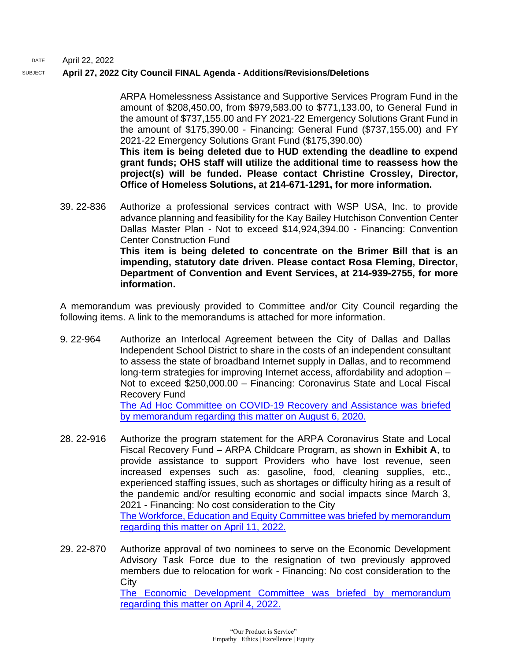DATE April 22, 2022

### SUBJECT **April 27, 2022 City Council FINAL Agenda - Additions/Revisions/Deletions**

ARPA Homelessness Assistance and Supportive Services Program Fund in the amount of \$208,450.00, from \$979,583.00 to \$771,133.00, to General Fund in the amount of \$737,155.00 and FY 2021-22 Emergency Solutions Grant Fund in the amount of \$175,390.00 - Financing: General Fund (\$737,155.00) and FY 2021-22 Emergency Solutions Grant Fund (\$175,390.00)

**This item is being deleted due to HUD extending the deadline to expend grant funds; OHS staff will utilize the additional time to reassess how the project(s) will be funded. Please contact Christine Crossley, Director, Office of Homeless Solutions, at 214-671-1291, for more information.**

39. 22-836 Authorize a professional services contract with WSP USA, Inc. to provide advance planning and feasibility for the Kay Bailey Hutchison Convention Center Dallas Master Plan - Not to exceed \$14,924,394.00 - Financing: Convention Center Construction Fund **This item is being deleted to concentrate on the Brimer Bill that is an impending, statutory date driven. Please contact Rosa Fleming, Director, Department of Convention and Event Services, at 214-939-2755, for more information.**

A memorandum was previously provided to Committee and/or City Council regarding the following items. A link to the memorandums is attached for more information.

- 9. 22-964 Authorize an Interlocal Agreement between the City of Dallas and Dallas Independent School District to share in the costs of an independent consultant to assess the state of broadband Internet supply in Dallas, and to recommend long-term strategies for improving Internet access, affordability and adoption – Not to exceed \$250,000.00 – Financing: Coronavirus State and Local Fiscal Recovery Fund [The Ad Hoc Committee on COVID-19 Recovery and Assistance was briefed](http://cityofdallas.legistar.com/gateway.aspx?M=F&ID=2edf0b5d-6a00-48a1-9b9e-eb83544c87a3.pdf)  [by memorandum regarding this matter on August 6, 2020.](http://cityofdallas.legistar.com/gateway.aspx?M=F&ID=2edf0b5d-6a00-48a1-9b9e-eb83544c87a3.pdf)
- 28. 22-916 Authorize the program statement for the ARPA Coronavirus State and Local Fiscal Recovery Fund – ARPA Childcare Program, as shown in **Exhibit A**, to provide assistance to support Providers who have lost revenue, seen increased expenses such as: gasoline, food, cleaning supplies, etc., experienced staffing issues, such as shortages or difficulty hiring as a result of the pandemic and/or resulting economic and social impacts since March 3, 2021 - Financing: No cost consideration to the City The Workforce, Education and Equity Committee was briefed by memorandum [regarding this matter on April 11, 2022.](http://cityofdallas.legistar.com/gateway.aspx?M=F&ID=13e4ab78-ab96-4cc7-b0d6-17ae502a9c80.pdf)
- 29. 22-870 Authorize approval of two nominees to serve on the Economic Development Advisory Task Force due to the resignation of two previously approved members due to relocation for work - Financing: No cost consideration to the **City** [The Economic Development Committee was briefed by memorandum](http://cityofdallas.legistar.com/gateway.aspx?M=F&ID=662a70cb-ed6d-4518-be64-047af3dccdef.pdf)  [regarding this matter on April 4, 2022.](http://cityofdallas.legistar.com/gateway.aspx?M=F&ID=662a70cb-ed6d-4518-be64-047af3dccdef.pdf)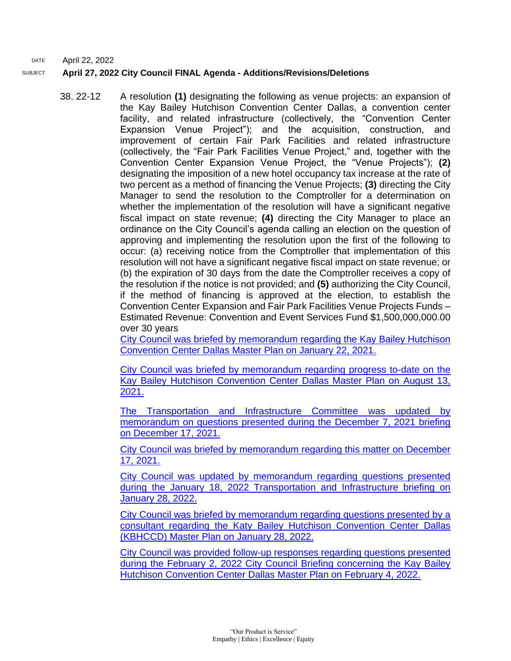#### DATE April 22, 2022 SUBJECT **April 27, 2022 City Council FINAL Agenda - Additions/Revisions/Deletions**

38. 22-12 A resolution **(1)** designating the following as venue projects: an expansion of the Kay Bailey Hutchison Convention Center Dallas, a convention center facility, and related infrastructure (collectively, the "Convention Center Expansion Venue Project"); and the acquisition, construction, and improvement of certain Fair Park Facilities and related infrastructure (collectively, the "Fair Park Facilities Venue Project," and, together with the Convention Center Expansion Venue Project, the "Venue Projects"); **(2)**  designating the imposition of a new hotel occupancy tax increase at the rate of two percent as a method of financing the Venue Projects; **(3)** directing the City Manager to send the resolution to the Comptroller for a determination on whether the implementation of the resolution will have a significant negative fiscal impact on state revenue; **(4)** directing the City Manager to place an ordinance on the City Council's agenda calling an election on the question of approving and implementing the resolution upon the first of the following to occur: (a) receiving notice from the Comptroller that implementation of this resolution will not have a significant negative fiscal impact on state revenue; or (b) the expiration of 30 days from the date the Comptroller receives a copy of the resolution if the notice is not provided; and **(5)** authorizing the City Council, if the method of financing is approved at the election, to establish the Convention Center Expansion and Fair Park Facilities Venue Projects Funds – Estimated Revenue: Convention and Event Services Fund \$1,500,000,000.00 over 30 years

[City Council was briefed by memorandum regarding the Kay Bailey Hutchison](https://dallascityhall.com/government/citymanager/Documents/FY%2020-21%20Memos/Kay%20Bailey%20Hutchison%20Convention%20Center%20Master%20Plan%20update%20-%20Memo_01222021.pdf)  [Convention Center Dallas Master Plan on January 22, 2021.](https://dallascityhall.com/government/citymanager/Documents/FY%2020-21%20Memos/Kay%20Bailey%20Hutchison%20Convention%20Center%20Master%20Plan%20update%20-%20Memo_01222021.pdf)

[City Council was briefed by memorandum regarding progress to-date on the](https://dallascityhall.com/government/citymanager/Documents/FY%2020-21%20Memos/KBHCCD%20Master%20Plan%20Contract%20Update_Memo_08132021.pdf)  [Kay Bailey Hutchison Convention Center Dallas Master Plan on August 13,](https://dallascityhall.com/government/citymanager/Documents/FY%2020-21%20Memos/KBHCCD%20Master%20Plan%20Contract%20Update_Memo_08132021.pdf)  [2021.](https://dallascityhall.com/government/citymanager/Documents/FY%2020-21%20Memos/KBHCCD%20Master%20Plan%20Contract%20Update_Memo_08132021.pdf)

[The Transportation and Infrastructure Committee was updated by](https://dallascityhall.com/government/citymanager/Documents/FY%2021-22%20Memos/KBHCCD%20Master%20Plan_Memo_12172021.pdf)  [memorandum on questions presented during the December 7, 2021 briefing](https://dallascityhall.com/government/citymanager/Documents/FY%2021-22%20Memos/KBHCCD%20Master%20Plan_Memo_12172021.pdf)  [on December 17, 2021.](https://dallascityhall.com/government/citymanager/Documents/FY%2021-22%20Memos/KBHCCD%20Master%20Plan_Memo_12172021.pdf)

[City Council was briefed by memorandum regarding this matter on December](https://dallascityhall.com/government/citymanager/Documents/FY%2021-22%20Memos/KBHCCD%20Master%20Plan_Memo_12172021.pdf)  [17, 2021.](https://dallascityhall.com/government/citymanager/Documents/FY%2021-22%20Memos/KBHCCD%20Master%20Plan_Memo_12172021.pdf)

[City Council was updated by memorandum regarding questions presented](https://dallascityhall.com/government/citymanager/Documents/FY%2021-22%20Memos/KBHCCD%20Master%20Plan%20Update%20Memo%20-%20Follow-Up%20to%20TRNI%20Committee.pdf)  [during the January 18, 2022 Transportation and Infrastructure briefing on](https://dallascityhall.com/government/citymanager/Documents/FY%2021-22%20Memos/KBHCCD%20Master%20Plan%20Update%20Memo%20-%20Follow-Up%20to%20TRNI%20Committee.pdf)  [January 28, 2022.](https://dallascityhall.com/government/citymanager/Documents/FY%2021-22%20Memos/KBHCCD%20Master%20Plan%20Update%20Memo%20-%20Follow-Up%20to%20TRNI%20Committee.pdf)

[City Council was briefed by memorandum regarding questions presented by a](https://dallascityhall.com/government/citymanager/Documents/FY%2021-22%20Memos/KBHCCD%20Master%20Plan%20Update%20-%20Additional%20Questions.pdf)  [consultant regarding the Katy Bailey Hutchison Convention Center Dallas](https://dallascityhall.com/government/citymanager/Documents/FY%2021-22%20Memos/KBHCCD%20Master%20Plan%20Update%20-%20Additional%20Questions.pdf)  [\(KBHCCD\) Master Plan on January 28, 2022.](https://dallascityhall.com/government/citymanager/Documents/FY%2021-22%20Memos/KBHCCD%20Master%20Plan%20Update%20-%20Additional%20Questions.pdf)

[City Council was provided follow-up responses regarding questions presented](https://dallascityhall.com/government/citymanager/Documents/FY%2021-22%20Memos/Kay%20Bailey%20Hutchison%20Convention%20Center%20Dallas%20%28KBHCCD%29%20Master%20Plan%20-%20February%202%202022%20City%20Council%20Briefing%20Follow-Up%20%28002%29.pdf)  during the February 2, 2022 City Council Briefing concerning the Kay Bailey [Hutchison Convention Center Dallas Master Plan on February 4, 2022.](https://dallascityhall.com/government/citymanager/Documents/FY%2021-22%20Memos/Kay%20Bailey%20Hutchison%20Convention%20Center%20Dallas%20%28KBHCCD%29%20Master%20Plan%20-%20February%202%202022%20City%20Council%20Briefing%20Follow-Up%20%28002%29.pdf)